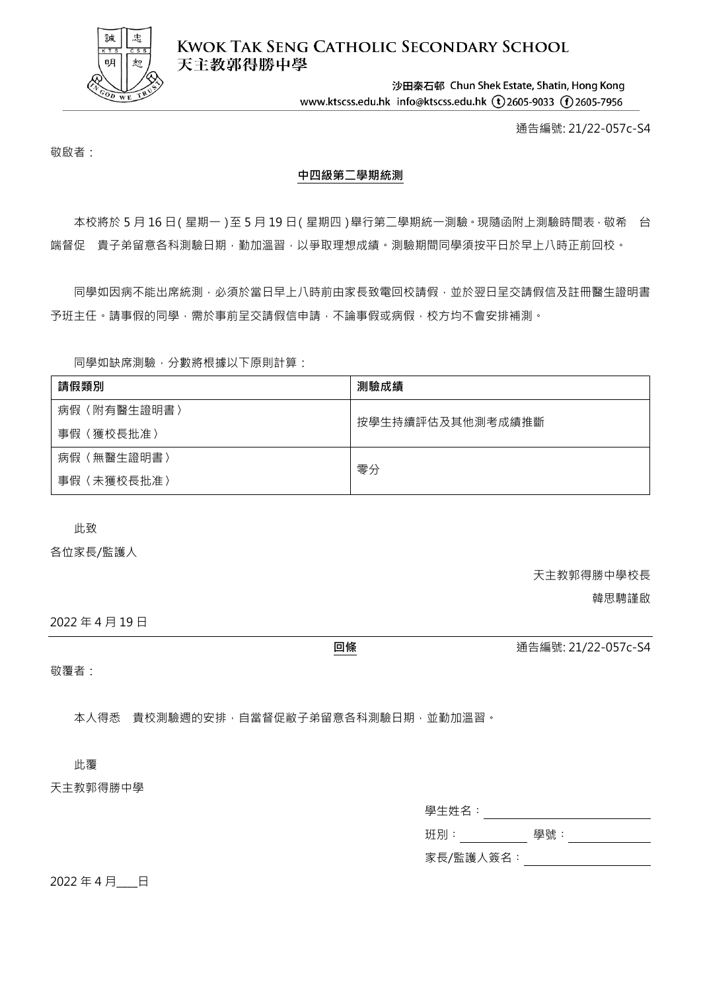

**KWOK TAK SENG CATHOLIC SECONDARY SCHOOL** 天主教郭得勝中學

> 沙田秦石邨 Chun Shek Estate, Shatin, Hong Kong www.ktscss.edu.hk info@ktscss.edu.hk (t)2605-9033 (f)2605-7956

> > 通告編號: 21/22-057c-S4

敬啟者:

## **中四級第二學期統測**

本校將於 5 月 16 日(星期一)至 5 月 19 日(星期四)舉行第二學期統一測驗,現隨函附上測驗時間表, 敬希 台 端督促 貴子弟留意各科測驗日期,勤加溫習,以爭取理想成績。測驗期間同學須按平日於早上八時正前回校。

同學如因病不能出席統測,必須於當日早上八時前由家長致電回校請假,並於翌日呈交請假信及註冊醫生證明書 予班主任。請事假的同學,需於事前呈交請假信申請,不論事假或病假,校方均不會安排補測。

同學如缺席測驗,分數將根據以下原則計算:

| 請假類別            | 測驗成績             |
|-----------------|------------------|
| (附有醫生證明書)<br>病假 | 按學生持續評估及其他測考成績推斷 |
| 〈獲校長批准〉<br>事假   |                  |
| (無醫生證明書)<br>病假  | 零分               |
| (未獲校長批准)<br>事假  |                  |

此致

各位家長/監護人

天主教郭得勝中學校長

韓思騁謹啟

2022 年 4 月 19 日

**回條** 通告編號: 21/22-057c-S4

敬覆者:

本人得悉 貴校測驗週的安排,自當督促敝子弟留意各科測驗日期,並勤加溫習。

此覆

## 天主教郭得勝中學

| 學生姓名:     |     |  |
|-----------|-----|--|
| 班別:       | 學號: |  |
| 家長/監護人簽名: |     |  |

2022年4月 日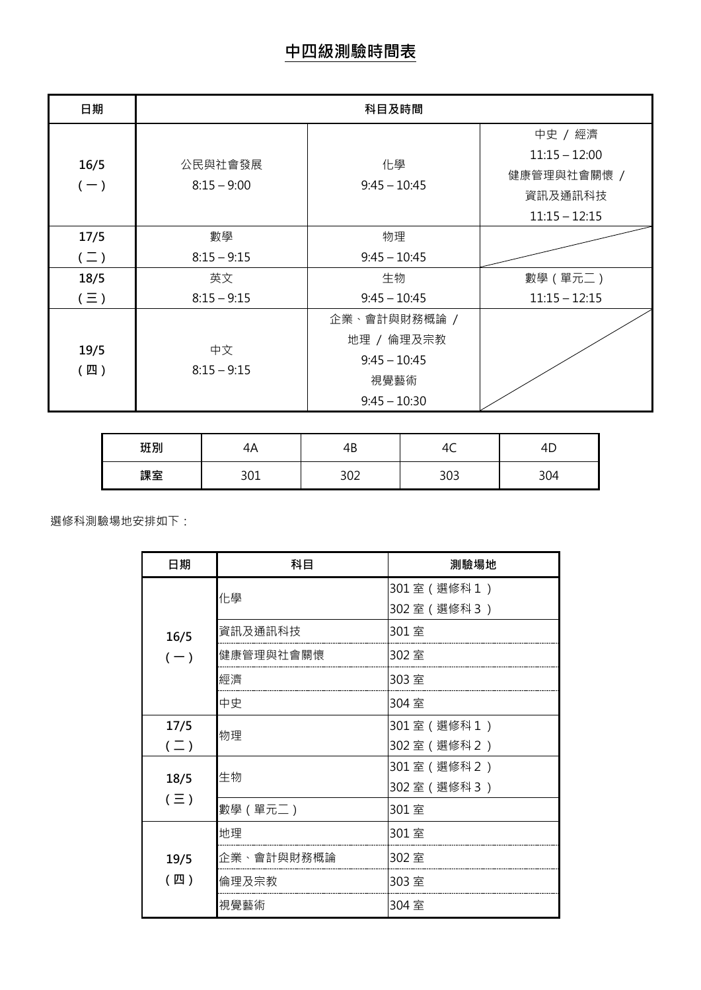| 日期            | 科目及時間         |                |                 |
|---------------|---------------|----------------|-----------------|
|               |               |                | 中史 / 經濟         |
| 16/5          | 公民與社會發展       | 化學             | $11:15 - 12:00$ |
|               | $8:15 - 9:00$ | $9:45 - 10:45$ | 健康管理與社會關懷 /     |
| $(-)$         |               |                | 資訊及通訊科技         |
|               |               |                | $11:15 - 12:15$ |
| 17/5          | 數學            | 物理             |                 |
| $(\sqsupset)$ | $8:15 - 9:15$ | $9:45 - 10:45$ |                 |
| 18/5          | 英文            | 生物             | 數學 (單元二)        |
| $(\equiv)$    | $8:15 - 9:15$ | $9:45 - 10:45$ | $11:15 - 12:15$ |
|               |               | 企業、會計與財務概論 /   |                 |
|               |               | 地理 / 倫理及宗教     |                 |
| 19/5          | 中文            | $9:45 - 10:45$ |                 |
| (四)           | $8:15 - 9:15$ | 視覺藝術           |                 |
|               |               | $9:45 - 10:30$ |                 |

| 班別 | 21 L<br>᠇᠇ | 4B         | -<br>∼ | 生し  |
|----|------------|------------|--------|-----|
| 課室 | າດ1<br>◡◡⊥ | າດາ<br>ے∪د | 303    | 304 |

選修科測驗場地安排如下:

| 日期            | 科目         | 測驗場地            |
|---------------|------------|-----------------|
|               | 化學         | 301室(選修科1)      |
|               |            | 302室 (選修科3)     |
| 16/5          | 資訊及通訊科技    | 301室            |
| $(-)$         | 健康管理與社會關懷  | 302室            |
|               | 經濟         | 303室            |
|               | 中史         | 304室            |
| 17/5          |            | 301室 (選修科1)     |
| $(\sqsupset)$ | 物理         | 302 室 ( 選修科 2 ) |
|               | 生物         | 301室 (選修科2)     |
| 18/5          |            | 302室 (選修科3)     |
| $(\equiv)$    | 數學 (單元二)   | 301室            |
|               | 地理         | 301室            |
| 19/5          | 企業、會計與財務概論 | 302室            |
| (四)           | 倫理及宗教      | 303室            |
|               | 視覺藝術       | 304室            |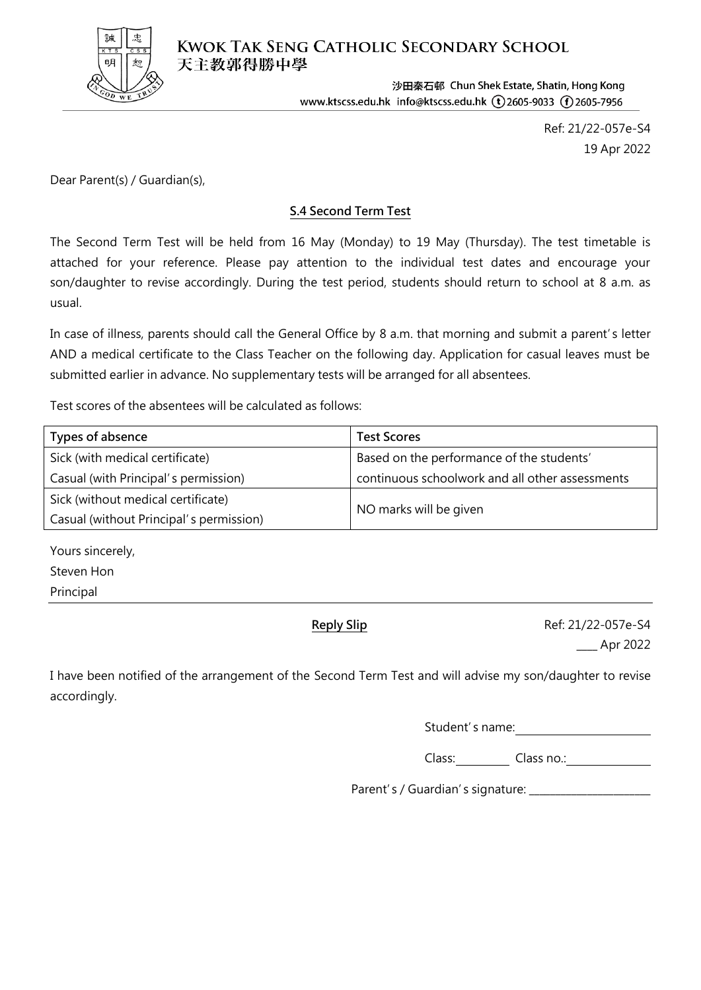

**KWOK TAK SENG CATHOLIC SECONDARY SCHOOL** 天主教郭得勝中學

> 沙田秦石邨 Chun Shek Estate, Shatin, Hong Kong www.ktscss.edu.hk info@ktscss.edu.hk (t) 2605-9033 (f) 2605-7956

> > Ref: 21/22-057e-S4 19 Apr 2022

Dear Parent(s) / Guardian(s),

## **S.4 Second Term Test**

The Second Term Test will be held from 16 May (Monday) to 19 May (Thursday). The test timetable is attached for your reference. Please pay attention to the individual test dates and encourage your son/daughter to revise accordingly. During the test period, students should return to school at 8 a.m. as usual.

In case of illness, parents should call the General Office by 8 a.m. that morning and submit a parent's letter AND a medical certificate to the Class Teacher on the following day. Application for casual leaves must be submitted earlier in advance. No supplementary tests will be arranged for all absentees.

Test scores of the absentees will be calculated as follows:

| Types of absence                        | <b>Test Scores</b>                              |
|-----------------------------------------|-------------------------------------------------|
| Sick (with medical certificate)         | Based on the performance of the students'       |
| Casual (with Principal's permission)    | continuous schoolwork and all other assessments |
| Sick (without medical certificate)      |                                                 |
| Casual (without Principal's permission) | NO marks will be given                          |

Yours sincerely, Steven Hon Principal

**Reply Slip** Ref: 21/22-057e-S4 \_\_\_\_ Apr 2022

I have been notified of the arrangement of the Second Term Test and will advise my son/daughter to revise accordingly.

Student's name:

Class: Class no.:

Parent's / Guardian's signature: \_\_\_\_\_\_\_\_\_\_\_\_\_\_\_\_\_\_\_\_\_\_\_